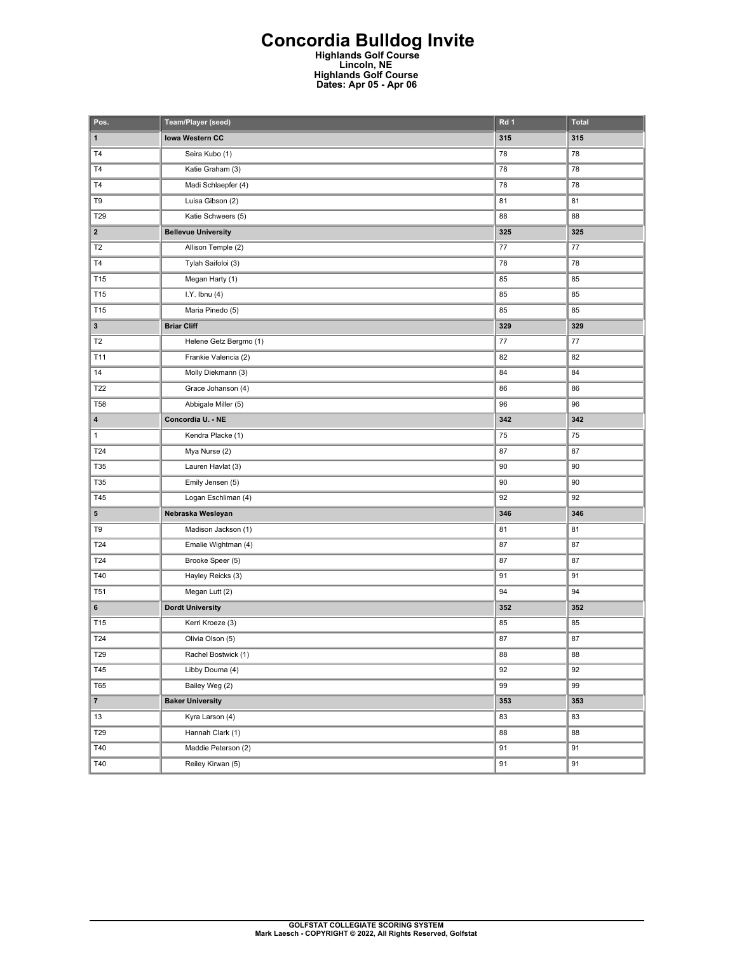## **Concordia Bulldog Invite Highlands Golf Course Lincoln, NE**

**Highlands Golf Course Dates: Apr 05 - Apr 06** 

| Pos.                    | Team/Player (seed)         | Rd 1 | <b>Total</b> |
|-------------------------|----------------------------|------|--------------|
| $\mathbf{1}$            | <b>Iowa Western CC</b>     | 315  | 315          |
| T <sub>4</sub>          | Seira Kubo (1)             | 78   | 78           |
| T <sub>4</sub>          | Katie Graham (3)           | 78   | 78           |
| T <sub>4</sub>          | Madi Schlaepfer (4)        | 78   | 78           |
| T9                      | Luisa Gibson (2)           | 81   | 81           |
| T29                     | Katie Schweers (5)         | 88   | 88           |
| $\overline{\mathbf{2}}$ | <b>Bellevue University</b> | 325  | 325          |
| T <sub>2</sub>          | Allison Temple (2)         | 77   | 77           |
| T4                      | Tylah Saifoloi (3)         | 78   | 78           |
| T15                     | Megan Harty (1)            | 85   | 85           |
| T15                     | $I.Y.$ Ibnu $(4)$          | 85   | 85           |
| T15                     | Maria Pinedo (5)           | 85   | 85           |
| 3                       | <b>Briar Cliff</b>         | 329  | 329          |
| T <sub>2</sub>          | Helene Getz Bergmo (1)     | 77   | $77 \,$      |
| T11                     | Frankie Valencia (2)       | 82   | 82           |
| 14                      | Molly Diekmann (3)         | 84   | 84           |
| T22                     | Grace Johanson (4)         | 86   | 86           |
| <b>T58</b>              | Abbigale Miller (5)        | 96   | 96           |
| 4                       | Concordia U. - NE          | 342  | 342          |
| $\mathbf{1}$            | Kendra Placke (1)          | 75   | 75           |
| T24                     | Mya Nurse (2)              | 87   | 87           |
| T35                     | Lauren Havlat (3)          | 90   | 90           |
| T35                     | Emily Jensen (5)           | 90   | 90           |
| T45                     | Logan Eschliman (4)        | 92   | 92           |
| 5                       | Nebraska Wesleyan          | 346  | 346          |
| T9                      | Madison Jackson (1)        | 81   | 81           |
| T24                     | Emalie Wightman (4)        | 87   | 87           |
| T24                     | Brooke Speer (5)           | 87   | 87           |
| T40                     | Hayley Reicks (3)          | 91   | 91           |
| <b>T51</b>              | Megan Lutt (2)             | 94   | 94           |
| 6                       | <b>Dordt University</b>    | 352  | 352          |
| T15                     | Kerri Kroeze (3)           | 85   | 85           |
| T24                     | Olivia Olson (5)           | 87   | 87           |
| T29                     | Rachel Bostwick (1)        | 88   | 88           |
| T45                     | Libby Douma (4)            | 92   | 92           |
| <b>T65</b>              | Bailey Weg (2)             | 99   | 99           |
| $\overline{7}$          | <b>Baker University</b>    | 353  | 353          |
| 13                      | Kyra Larson (4)            | 83   | 83           |
| T29                     | Hannah Clark (1)           | 88   | 88           |
| T40                     | Maddie Peterson (2)        | 91   | 91           |
| T40                     | Reiley Kirwan (5)          | 91   | 91           |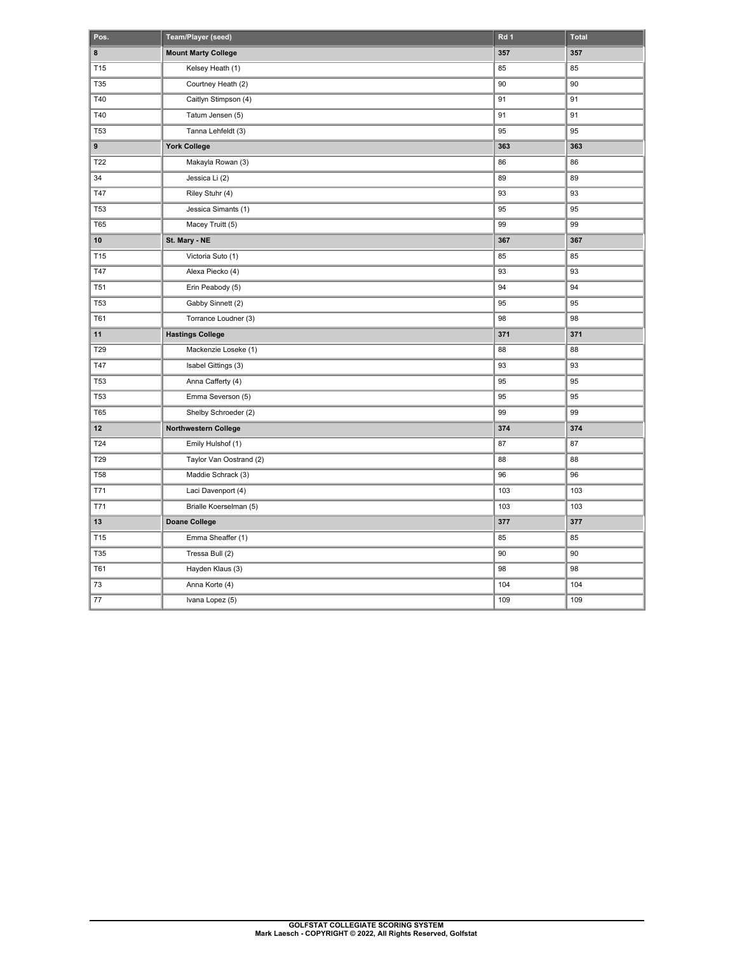| Pos.            | Team/Player (seed)         | Rd 1 | Total |
|-----------------|----------------------------|------|-------|
| 8               | <b>Mount Marty College</b> | 357  | 357   |
| T15             | Kelsey Heath (1)           | 85   | 85    |
| T35             | Courtney Heath (2)         | 90   | 90    |
| T40             | Caitlyn Stimpson (4)       | 91   | 91    |
| T40             | Tatum Jensen (5)           | 91   | 91    |
| <b>T53</b>      | Tanna Lehfeldt (3)         | 95   | 95    |
| 9               | <b>York College</b>        | 363  | 363   |
| T22             | Makayla Rowan (3)          | 86   | 86    |
| 34              | Jessica Li (2)             | 89   | 89    |
| T47             | Riley Stuhr (4)            | 93   | 93    |
| <b>T53</b>      | Jessica Simants (1)        | 95   | 95    |
| <b>T65</b>      | Macey Truitt (5)           | 99   | 99    |
| 10              | St. Mary - NE              | 367  | 367   |
| T15             | Victoria Suto (1)          | 85   | 85    |
| <b>T47</b>      | Alexa Piecko (4)           | 93   | 93    |
| T <sub>51</sub> | Erin Peabody (5)           | 94   | 94    |
| <b>T53</b>      | Gabby Sinnett (2)          | 95   | 95    |
| T61             | Torrance Loudner (3)       | 98   | 98    |
| 11              | <b>Hastings College</b>    | 371  | 371   |
| T29             | Mackenzie Loseke (1)       | 88   | 88    |
| T47             | Isabel Gittings (3)        | 93   | 93    |
| <b>T53</b>      | Anna Cafferty (4)          | 95   | 95    |
| <b>T53</b>      | Emma Severson (5)          | 95   | 95    |
| <b>T65</b>      | Shelby Schroeder (2)       | 99   | 99    |
| 12              | Northwestern College       | 374  | 374   |
| T24             | Emily Hulshof (1)          | 87   | 87    |
| T29             | Taylor Van Oostrand (2)    | 88   | 88    |
| <b>T58</b>      | Maddie Schrack (3)         | 96   | 96    |
| T71             | Laci Davenport (4)         | 103  | 103   |
| T71             | Brialle Koerselman (5)     | 103  | 103   |
| 13              | <b>Doane College</b>       | 377  | 377   |
| T15             | Emma Sheaffer (1)          | 85   | 85    |
| T35             | Tressa Bull (2)            | 90   | 90    |
| T61             | Hayden Klaus (3)           | 98   | 98    |
| 73              | Anna Korte (4)             | 104  | 104   |
| 77              | Ivana Lopez (5)            | 109  | 109   |